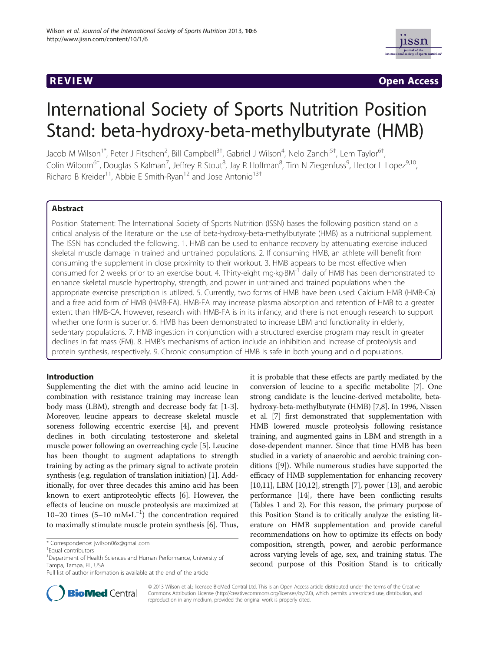## **REVIEW REVIEW CONSTRUCTER ACCESS**



**1SSr** 

# International Society of Sports Nutrition Position Stand: beta-hydroxy-beta-methylbutyrate (HMB)

Jacob M Wilson<sup>1\*</sup>, Peter J Fitschen<sup>2</sup>, Bill Campbell<sup>3†</sup>, Gabriel J Wilson<sup>4</sup>, Nelo Zanchi<sup>5†</sup>, Lem Taylor<sup>6†</sup> , Colin Wilborn<sup>6†</sup>, Douglas S Kalman<sup>7</sup>, Jeffrey R Stout<sup>8</sup>, Jay R Hoffman<sup>8</sup>, Tim N Ziegenfuss<sup>9</sup>, Hector L Lopez<sup>9,10</sup>, Richard B Kreider<sup>11</sup>, Abbie E Smith-Ryan<sup>12</sup> and Jose Antonio<sup>13†</sup>

## Abstract

Position Statement: The International Society of Sports Nutrition (ISSN) bases the following position stand on a critical analysis of the literature on the use of beta-hydroxy-beta-methylbutyrate (HMB) as a nutritional supplement. The ISSN has concluded the following. 1. HMB can be used to enhance recovery by attenuating exercise induced skeletal muscle damage in trained and untrained populations. 2. If consuming HMB, an athlete will benefit from consuming the supplement in close proximity to their workout. 3. HMB appears to be most effective when consumed for 2 weeks prior to an exercise bout. 4. Thirty-eight mg·kg·BM<sup>-1</sup> daily of HMB has been demonstrated to enhance skeletal muscle hypertrophy, strength, and power in untrained and trained populations when the appropriate exercise prescription is utilized. 5. Currently, two forms of HMB have been used: Calcium HMB (HMB-Ca) and a free acid form of HMB (HMB-FA). HMB-FA may increase plasma absorption and retention of HMB to a greater extent than HMB-CA. However, research with HMB-FA is in its infancy, and there is not enough research to support whether one form is superior. 6. HMB has been demonstrated to increase LBM and functionality in elderly, sedentary populations. 7. HMB ingestion in conjunction with a structured exercise program may result in greater declines in fat mass (FM). 8. HMB's mechanisms of action include an inhibition and increase of proteolysis and protein synthesis, respectively. 9. Chronic consumption of HMB is safe in both young and old populations.

## Introduction

Supplementing the diet with the amino acid leucine in combination with resistance training may increase lean body mass (LBM), strength and decrease body fat [\[1](#page-11-0)-[3](#page-11-0)]. Moreover, leucine appears to decrease skeletal muscle soreness following eccentric exercise [\[4\]](#page-11-0), and prevent declines in both circulating testosterone and skeletal muscle power following an overreaching cycle [\[5](#page-11-0)]. Leucine has been thought to augment adaptations to strength training by acting as the primary signal to activate protein synthesis (e.g. regulation of translation initiation) [\[1](#page-11-0)]. Additionally, for over three decades this amino acid has been known to exert antiproteolytic effects [\[6](#page-11-0)]. However, the effects of leucine on muscle proteolysis are maximized at 10–20 times (5–10 mM•L−<sup>1</sup> ) the concentration required to maximally stimulate muscle protein synthesis [\[6\]](#page-11-0). Thus,

it is probable that these effects are partly mediated by the conversion of leucine to a specific metabolite [\[7](#page-11-0)]. One strong candidate is the leucine-derived metabolite, betahydroxy-beta-methylbutyrate (HMB) [\[7,8](#page-11-0)]. In 1996, Nissen et al. [\[7](#page-11-0)] first demonstrated that supplementation with HMB lowered muscle proteolysis following resistance training, and augmented gains in LBM and strength in a dose-dependent manner. Since that time HMB has been studied in a variety of anaerobic and aerobic training conditions ([\[9](#page-11-0)]). While numerous studies have supported the efficacy of HMB supplementation for enhancing recovery [[10,11](#page-11-0)], LBM [\[10,12](#page-11-0)], strength [\[7\]](#page-11-0), power [\[13](#page-11-0)], and aerobic performance [\[14\]](#page-11-0), there have been conflicting results (Tables [1](#page-1-0) and [2](#page-2-0)). For this reason, the primary purpose of this Position Stand is to critically analyze the existing literature on HMB supplementation and provide careful recommendations on how to optimize its effects on body composition, strength, power, and aerobic performance across varying levels of age, sex, and training status. The second purpose of this Position Stand is to critically



© 2013 Wilson et al.; licensee BioMed Central Ltd. This is an Open Access article distributed under the terms of the Creative Commons Attribution License [\(http://creativecommons.org/licenses/by/2.0\)](http://creativecommons.org/licenses/by/2.0), which permits unrestricted use, distribution, and reproduction in any medium, provided the original work is properly cited.

<sup>\*</sup> Correspondence: [jwilson06x@gmail.com](mailto:jwilson06x@gmail.com) †

Equal contributors

<sup>&</sup>lt;sup>1</sup>Department of Health Sciences and Human Performance, University of Tampa, Tampa, FL, USA

Full list of author information is available at the end of the article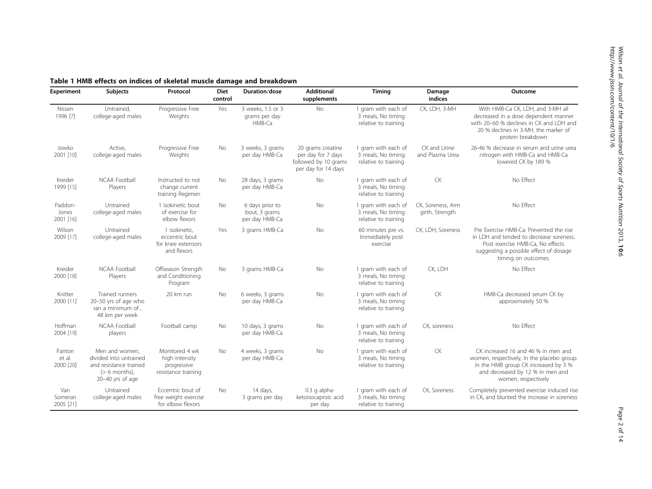| <b>Experiment</b>             | <b>Subjects</b>                                                                                           | Protocol                                                               | <b>Diet</b><br>control | Duration/dose                                      | <b>Additional</b><br>supplements                                                       | Timing                                                            | Damage<br>indices                    | Outcome                                                                                                                                                                                 |  |
|-------------------------------|-----------------------------------------------------------------------------------------------------------|------------------------------------------------------------------------|------------------------|----------------------------------------------------|----------------------------------------------------------------------------------------|-------------------------------------------------------------------|--------------------------------------|-----------------------------------------------------------------------------------------------------------------------------------------------------------------------------------------|--|
| Nissen<br>1996 [7]            | Untrained.<br>college-aged males                                                                          | Progressive Free<br>Weights                                            | Yes                    | 3 weeks, 1.5 or 3<br>grams per day<br>HMB-Ca       | <b>No</b>                                                                              | 1 gram with each of<br>3 meals, No timing<br>relative to training | CK, LDH, 3-MH                        | With HMB-Ca CK, LDH, and 3-MH all<br>decreased in a dose dependent manner<br>with 20-60 % declines in CK and LDH and<br>20 % declines in 3-MH, the marker of<br>protein breakdown       |  |
| Jowko<br>2001 [10]            | Active.<br>college-aged males                                                                             | Progressive Free<br>Weights                                            | No                     | 3 weeks, 3 grams<br>per day HMB-Ca                 | 20 grams creatine<br>per day for 7 days<br>followed by 10 grams<br>per day for 14 days | 1 gram with each of<br>3 meals, No timing<br>relative to training | CK and Urine<br>and Plasma Urea      | 26-46 % decrease in serum and urine urea<br>nitrogen with HMB-Ca and HMB-Ca<br>lowered CK by 189 %                                                                                      |  |
| Kreider<br>1999 [15]          | NCAA Football<br>Players                                                                                  | Instructed to not<br>change current<br>training Regimen                | No                     | 28 days, 3 grams<br>per day HMB-Ca                 | <b>No</b>                                                                              | 1 gram with each of<br>3 meals, No timing<br>relative to training | <b>CK</b>                            | No Effect                                                                                                                                                                               |  |
| Paddon-<br>Jones<br>2001 [16] | Untrained<br>college-aged males                                                                           | 1 isokinetic bout<br>of exercise for<br>elbow flexors                  | <b>No</b>              | 6 days prior to<br>bout, 3 grams<br>per day HMB-Ca | No                                                                                     | 1 gram with each of<br>3 meals, No timing<br>relative to training | CK, Soreness, Arm<br>girth, Strength | No Effect                                                                                                                                                                               |  |
| Wilson<br>2009 [17]           | Untrained<br>college-aged males                                                                           | 1 isokinetic.<br>eccentric bout<br>for knee extensors<br>and flexors   | Yes                    | 3 grams HMB-Ca                                     | No                                                                                     | 60 minutes pre vs.<br>Immediately post<br>exercise                | CK, LDH, Soreness                    | Pre Exercise HMB-Ca: Prevented the rise<br>in LDH and tended to decrease soreness.<br>Post exercise HMB-Ca. No effects<br>suggesting a possible effect of dosage<br>timing on outcomes. |  |
| Kreider<br>2000 [18]          | NCAA Football<br>Players                                                                                  | Offseason Strength<br>and Conditioning<br>Program                      | No                     | 3 grams HMB-Ca                                     | No                                                                                     | 1 gram with each of<br>3 meals, No timing<br>relative to training | CK, LDH                              | No Effect                                                                                                                                                                               |  |
| Knitter<br>2000 [11]          | Trained runners<br>20-50 yrs of age who<br>ran a minimum of ,<br>48 km per week                           | 20 km run                                                              | No                     | 6 weeks, 3 grams<br>per day HMB-Ca                 | No                                                                                     | 1 gram with each of<br>3 meals, No timing<br>relative to training | CK                                   | HMB-Ca decreased serum CK by<br>approximately 50 %                                                                                                                                      |  |
| Hoffman<br>2004 [19]          | NCAA Football<br>players                                                                                  | Football camp                                                          | No                     | 10 days, 3 grams<br>per day HMB-Ca                 | No                                                                                     | 1 gram with each of<br>3 meals, No timing<br>relative to training | CK, soreness                         | No Effect                                                                                                                                                                               |  |
| Panton<br>et al.<br>2000 [20] | Men and women.<br>divided into untrained<br>and resistance trained<br>$(> 6$ months),<br>20-40 yrs of age | Monitored 4 wk<br>high intensity<br>progressive<br>resistance training | No                     | 4 weeks, 3 grams<br>per day HMB-Ca                 | No                                                                                     | 1 gram with each of<br>3 meals, No timing<br>relative to training | <b>CK</b>                            | CK increased 16 and 46 % in men and<br>women, respectively, in the placebo group.<br>In the HMB group CK increased by 3 %<br>and decreased by 12 % in men and<br>women, respectively    |  |
| Van<br>Someran<br>2005 [21]   | Untrained<br>college-aged males                                                                           | Eccentric bout of<br>free weight exercise<br>for elbow flexors         | No                     | 14 days,<br>3 grams per day                        | 0.3 g alpha-<br>ketoisocaproic acid<br>per day                                         | 1 gram with each of<br>3 meals, No timing<br>relative to training | CK, Soreness                         | Completely prevented exercise induced rise<br>in CK, and blunted the increase in soreness                                                                                               |  |

## <span id="page-1-0"></span>Table 1 HMB effects on indices of skeletal muscle damage and breakdown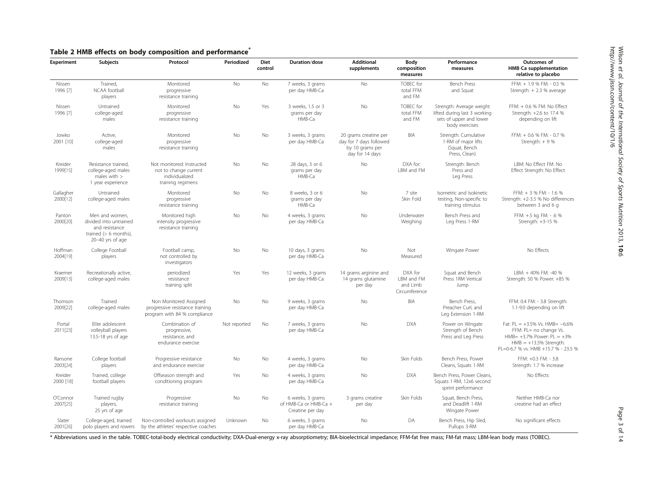| <b>Experiment</b>     | <b>Subjects</b>                                                                                           | Protocol                                                                                  | Periodized   | <b>Diet</b><br>control | Duration/dose                                                 | <b>Additional</b><br>supplements                                                       | Body<br>composition<br>measures                    | Performance<br>measures                                                                               | Outcomes of<br>HMB-Ca supplementation<br>relative to placebo                                                                                                       |
|-----------------------|-----------------------------------------------------------------------------------------------------------|-------------------------------------------------------------------------------------------|--------------|------------------------|---------------------------------------------------------------|----------------------------------------------------------------------------------------|----------------------------------------------------|-------------------------------------------------------------------------------------------------------|--------------------------------------------------------------------------------------------------------------------------------------------------------------------|
| Nissen<br>1996 [7]    | Trained.<br>NCAA football<br>players                                                                      | Monitored<br>progressive<br>resistance training                                           | <b>No</b>    | No                     | 7 weeks, 3 grams<br>per day HMB-Ca                            | No                                                                                     | TOBEC for<br>total FFM<br>and FM                   | <b>Bench Press</b><br>and Squat                                                                       | FFM: + 1.9 % FM: - 0.5 %<br>Strength: + 2.3 % average                                                                                                              |
| Nissen<br>1996 [7]    | Untrained<br>college-aged<br>males                                                                        | Monitored<br>progressive<br>resistance training                                           | No           | Yes                    | 3 weeks, 1.5 or 3<br>grams per day<br>HMB-Ca                  | No                                                                                     | TOBEC for<br>total FFM<br>and FM                   | Strength: Average weight<br>lifted during last 3 working<br>sets of upper and lower<br>body exercises | FFM: + 0.6 % FM: No Effect<br>Strength: +2.6 to 17.4 %<br>depending on lift                                                                                        |
| Jowko<br>2001 [10]    | Active,<br>college-aged<br>males                                                                          | Monitored<br>progressive<br>resistance training                                           | No           | No                     | 3 weeks, 3 grams<br>per day HMB-Ca                            | 20 grams creatine per<br>day for 7 days followed<br>by 10 grams per<br>day for 14 days | <b>BIA</b>                                         | Strength: Cumulative<br>1-RM of major lifts<br>(Squat, Bench<br>Press, Clean)                         | FFM: + 0.6 % FM: - 0.7 %<br>Strength: + 9 %                                                                                                                        |
| Kreider<br>1999[15]   | Resistance trained,<br>college-aged males<br>males with $>$<br>1 year experience                          | Not monitored: Instructed<br>not to change current<br>individualized<br>training regimens | <b>No</b>    | <b>No</b>              | 28 days, 3 or 6<br>grams per day<br>HMB-Ca                    | <b>No</b>                                                                              | DXA for:<br>LBM and FM                             | Strength: Bench<br>Press and<br>Leg Press                                                             | LBM: No Effect FM: No<br>Effect Strength: No Effect                                                                                                                |
| Gallagher<br>2000[12] | Untrained<br>college-aged males                                                                           | Monitored<br>progressive<br>resistance training                                           | No           | No                     | 8 weeks, 3 or 6<br>grams per day<br>HMB-Ca                    | No                                                                                     | 7 site<br>Skin Fold                                | Isometric and Isokinetic<br>testing, Non-specific to<br>training stimulus                             | FFM: + 3 % FM: - 1.6 %<br>Strength: +2-3.5 % No differences<br>between 3 and 6 g                                                                                   |
| Panton<br>2000[20]    | Men and women.<br>divided into untrained<br>and resistance<br>trained $(> 6$ months),<br>20-40 yrs of age | Monitored high<br>intensity progressive<br>resistance training                            | <b>No</b>    | <b>No</b>              | 4 weeks, 3 grams<br>per day HMB-Ca                            | <b>No</b>                                                                              | Underwater<br>Weighing                             | Bench Press and<br>Leg Press 1-RM                                                                     | FFM: +.5 kg FM: - .6 %<br>Strength: +3-15 %                                                                                                                        |
| Hoffman<br>2004[19]   | College Football<br>players                                                                               | Football camp,<br>not controlled by<br>investigators                                      | No           | No                     | 10 days, 3 grams<br>per day HMB-Ca                            | No                                                                                     | Not<br>Measured                                    | Wingate Power                                                                                         | No Effects                                                                                                                                                         |
| Kraemer<br>2009[13]   | Recreationally active,<br>college-aged males                                                              | periodized<br>resistance<br>training split                                                | Yes          | Yes                    | 12 weeks, 3 grams<br>per day HMB-Ca                           | 14 grams arginine and<br>14 grams glutamine<br>per day                                 | DXA for<br>LBM and FM<br>and Limb<br>Circumference | Squat and Bench<br>Press 1RM Vertical<br>Jump                                                         | LBM: +40% FM: -40 %<br>Strength: 50 % Power: +85 %                                                                                                                 |
| Thomson<br>2009[22]   | Trained<br>college-aged males                                                                             | Non Monitored Assigned<br>progressive resistance training<br>program with 84 % compliance | No           | No                     | 9 weeks, 3 grams<br>per day HMB-Ca                            | No                                                                                     | BIA                                                | Bench Press,<br>Preacher Curl, and<br>Leg Extension 1-RM                                              | FFM: 0.4 FM: - 3.8 Strength:<br>1.1-9.0 depending on lift                                                                                                          |
| Portal<br>2011[23]    | Elite adolescent<br>volleyball players<br>13.5-18 yrs of age                                              | Combination of<br>progressive,<br>resistance, and<br>endurance exercise                   | Not reported | <b>No</b>              | 7 weeks, 3 grams<br>per day HMB-Ca                            | <b>No</b>                                                                              | <b>DXA</b>                                         | Power on Wingate<br>Strength of Bench<br>Press and Leg Press                                          | Fat: PL = $+3.5\%$ Vs. HMB= $-6.6\%$<br>FFM: PL= no change Vs.<br>$HMB=+3.7%$ Power: $PL = +3%$<br>$HMB = +13.5%$ Strength:<br>PL=0-6.7 % vs. HMB +15.7 % - 23.5 % |
| Ransone<br>2003[24]   | College football<br>players                                                                               | Progressive resistance<br>and endurance exercise                                          | No           | No                     | 4 weeks, 3 grams<br>per day HMB-Ca                            | No                                                                                     | Skin Folds                                         | Bench Press, Power<br>Cleans, Squats 1-RM                                                             | FFM: +0.3 FM: - 3.8<br>Strength: 1.7 % increase                                                                                                                    |
| Kreider<br>2000 [18]  | Trained, college<br>football players                                                                      | Offseason strength and<br>conditioning program                                            | Yes          | No                     | 4 weeks, 3 grams<br>per day HMB-Ca                            | No                                                                                     | <b>DXA</b>                                         | Bench Press, Power Cleans,<br>Squats 1-RM, 12x6 second<br>sprint performance                          | No Effects                                                                                                                                                         |
| O'Connor<br>2007[25]  | Trained rugby<br>players,<br>25 yrs of age                                                                | Progressive<br>resistance training                                                        | No           | No                     | 6 weeks, 3 grams<br>of HMB-Ca or HMB-Ca +<br>Creatine per day | 3 grams creatine<br>per day                                                            | Skin Folds                                         | Squat, Bench Press,<br>and Deadlift 1-RM<br>Wingate Power                                             | Neither HMB-Ca nor<br>creatine had an effect                                                                                                                       |
| Slater<br>2001[26]    | College-aged, trained<br>polo players and rowers                                                          | Non-controlled workouts assigned<br>by the athletes' respective coaches                   | Unknown      | No                     | 6 weeks, 3 grams<br>per day HMB-Ca                            | No                                                                                     | DA                                                 | Bench Press, Hip Sled,<br>Pullups 3-RM                                                                | No significant effects                                                                                                                                             |

## <span id="page-2-0"></span>Table 2 HMB effects on body composition and performance<sup>\*</sup>

\* Abbreviations used in the table. TOBEC-total-body electrical conductivity; DXA-Dual-energy x-ray absorptiometry; BIA-bioelectrical impedance; FFM-fat free mass; FM-fat mass; LBM-lean body mass (TOBEC).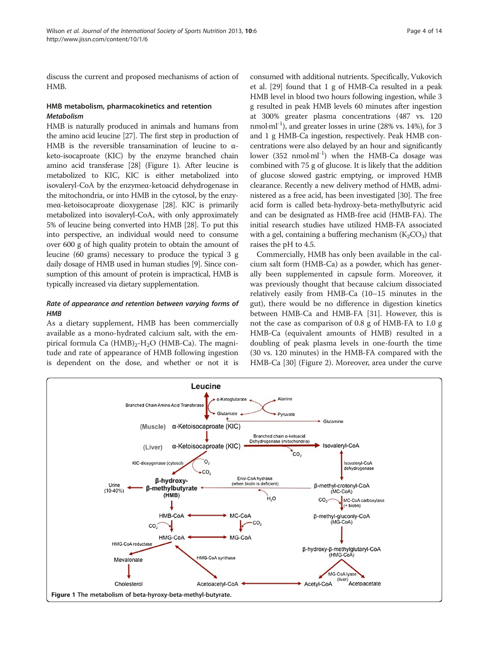discuss the current and proposed mechanisms of action of HMB.

## HMB metabolism, pharmacokinetics and retention Metabolism

HMB is naturally produced in animals and humans from the amino acid leucine [[27](#page-12-0)]. The first step in production of HMB is the reversible transamination of leucine to αketo-isocaproate (KIC) by the enzyme branched chain amino acid transferase [\[28\]](#page-12-0) (Figure 1). After leucine is metabolized to KIC, KIC is either metabolized into isovaleryl-CoA by the enzymeα-ketoacid dehydrogenase in the mitochondria, or into HMB in the cytosol, by the enzymeα-ketoisocaproate dioxygenase [\[28\]](#page-12-0). KIC is primarily metabolized into isovaleryl-CoA, with only approximately 5% of leucine being converted into HMB [\[28\]](#page-12-0). To put this into perspective, an individual would need to consume over 600 g of high quality protein to obtain the amount of leucine (60 grams) necessary to produce the typical 3 g daily dosage of HMB used in human studies [\[9](#page-11-0)]. Since consumption of this amount of protein is impractical, HMB is typically increased via dietary supplementation.

## Rate of appearance and retention between varying forms of **HMB**

As a dietary supplement, HMB has been commercially available as a mono-hydrated calcium salt, with the empirical formula Ca  $(HMB)_2$ -H<sub>2</sub>O (HMB-Ca). The magnitude and rate of appearance of HMB following ingestion is dependent on the dose, and whether or not it is

consumed with additional nutrients. Specifically, Vukovich et al. [[29](#page-12-0)] found that 1 g of HMB-Ca resulted in a peak HMB level in blood two hours following ingestion, while 3 g resulted in peak HMB levels 60 minutes after ingestion at 300% greater plasma concentrations (487 vs. 120 nmol $\cdot$ ml<sup>-1</sup>), and greater losses in urine (28% vs. 14%), for 3 and 1 g HMB-Ca ingestion, respectively. Peak HMB concentrations were also delayed by an hour and significantly lower  $(352 \text{ nmol} \cdot \text{ml}^{-1})$  when the HMB-Ca dosage was combined with 75 g of glucose. It is likely that the addition of glucose slowed gastric emptying, or improved HMB clearance. Recently a new delivery method of HMB, administered as a free acid, has been investigated [\[30\]](#page-12-0). The free acid form is called beta-hydroxy-beta-methylbutyric acid and can be designated as HMB-free acid (HMB-FA). The initial research studies have utilized HMB-FA associated with a gel, containing a buffering mechanism  $(K_2CO_3)$  that raises the pH to 4.5.

Commercially, HMB has only been available in the calcium salt form (HMB-Ca) as a powder, which has generally been supplemented in capsule form. Moreover, it was previously thought that because calcium dissociated relatively easily from HMB-Ca (10–15 minutes in the gut), there would be no difference in digestion kinetics between HMB-Ca and HMB-FA [\[31\]](#page-12-0). However, this is not the case as comparison of 0.8 g of HMB-FA to 1.0 g HMB-Ca (equivalent amounts of HMB) resulted in a doubling of peak plasma levels in one-fourth the time (30 vs. 120 minutes) in the HMB-FA compared with the HMB-Ca [[30\]](#page-12-0) (Figure [2\)](#page-4-0). Moreover, area under the curve

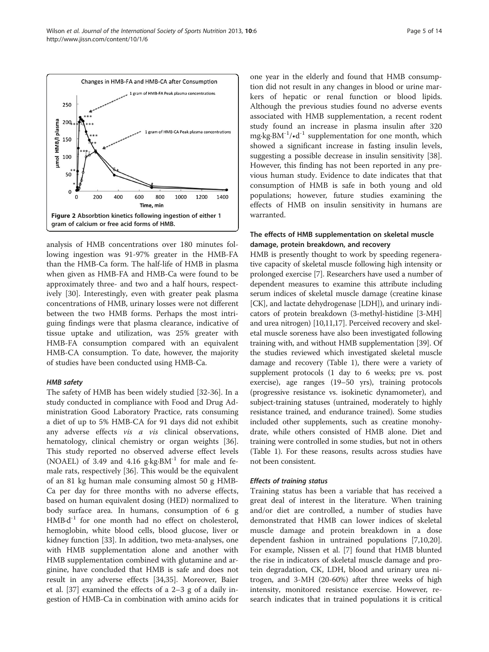<span id="page-4-0"></span>

analysis of HMB concentrations over 180 minutes following ingestion was 91-97% greater in the HMB-FA than the HMB-Ca form. The half-life of HMB in plasma when given as HMB-FA and HMB-Ca were found to be approximately three- and two and a half hours, respectively [[30\]](#page-12-0). Interestingly, even with greater peak plasma concentrations of HMB, urinary losses were not different between the two HMB forms. Perhaps the most intriguing findings were that plasma clearance, indicative of tissue uptake and utilization, was 25% greater with HMB-FA consumption compared with an equivalent HMB-CA consumption. To date, however, the majority of studies have been conducted using HMB-Ca.

## HMB safety

The safety of HMB has been widely studied [[32-36\]](#page-12-0). In a study conducted in compliance with Food and Drug Administration Good Laboratory Practice, rats consuming a diet of up to 5% HMB-CA for 91 days did not exhibit any adverse effects  $vis$  a  $vis$  clinical observations, hematology, clinical chemistry or organ weights [\[36](#page-12-0)]. This study reported no observed adverse effect levels (NOAEL) of 3.49 and 4.16  $g$ ·kg·BM<sup>-1</sup> for male and female rats, respectively [\[36](#page-12-0)]. This would be the equivalent of an 81 kg human male consuming almost 50 g HMB-Ca per day for three months with no adverse effects, based on human equivalent dosing (HED) normalized to body surface area. In humans, consumption of 6 g HMB·d<sup>-1</sup> for one month had no effect on cholesterol, hemoglobin, white blood cells, blood glucose, liver or kidney function [[33\]](#page-12-0). In addition, two meta-analyses, one with HMB supplementation alone and another with HMB supplementation combined with glutamine and arginine, have concluded that HMB is safe and does not result in any adverse effects [[34,35\]](#page-12-0). Moreover, Baier et al. [[37\]](#page-12-0) examined the effects of a 2–3 g of a daily ingestion of HMB-Ca in combination with amino acids for one year in the elderly and found that HMB consumption did not result in any changes in blood or urine markers of hepatic or renal function or blood lipids. Although the previous studies found no adverse events associated with HMB supplementation, a recent rodent study found an increase in plasma insulin after 320 mg·kg·BM<sup>-1</sup>/ $\cdot$ d<sup>-1</sup> supplementation for one month, which showed a significant increase in fasting insulin levels, suggesting a possible decrease in insulin sensitivity [\[38](#page-12-0)]. However, this finding has not been reported in any previous human study. Evidence to date indicates that that consumption of HMB is safe in both young and old populations; however, future studies examining the effects of HMB on insulin sensitivity in humans are warranted.

## The effects of HMB supplementation on skeletal muscle damage, protein breakdown, and recovery

HMB is presently thought to work by speeding regenerative capacity of skeletal muscle following high intensity or prolonged exercise [\[7](#page-11-0)]. Researchers have used a number of dependent measures to examine this attribute including serum indices of skeletal muscle damage (creatine kinase [CK], and lactate dehydrogenase [LDH]), and urinary indicators of protein breakdown (3-methyl-histidine [3-MH] and urea nitrogen) [\[10,11,17](#page-11-0)]. Perceived recovery and skeletal muscle soreness have also been investigated following training with, and without HMB supplementation [\[39](#page-12-0)]. Of the studies reviewed which investigated skeletal muscle damage and recovery (Table [1](#page-1-0)), there were a variety of supplement protocols (1 day to 6 weeks; pre vs. post exercise), age ranges (19–50 yrs), training protocols (progressive resistance vs. isokinetic dynamometer), and subject-training statuses (untrained, moderately to highly resistance trained, and endurance trained). Some studies included other supplements, such as creatine monohydrate, while others consisted of HMB alone. Diet and training were controlled in some studies, but not in others (Table [1\)](#page-1-0). For these reasons, results across studies have not been consistent.

## Effects of training status

Training status has been a variable that has received a great deal of interest in the literature. When training and/or diet are controlled, a number of studies have demonstrated that HMB can lower indices of skeletal muscle damage and protein breakdown in a dose dependent fashion in untrained populations [\[7,10,20](#page-11-0)]. For example, Nissen et al. [\[7](#page-11-0)] found that HMB blunted the rise in indicators of skeletal muscle damage and protein degradation, CK, LDH, blood and urinary urea nitrogen, and 3-MH (20-60%) after three weeks of high intensity, monitored resistance exercise. However, research indicates that in trained populations it is critical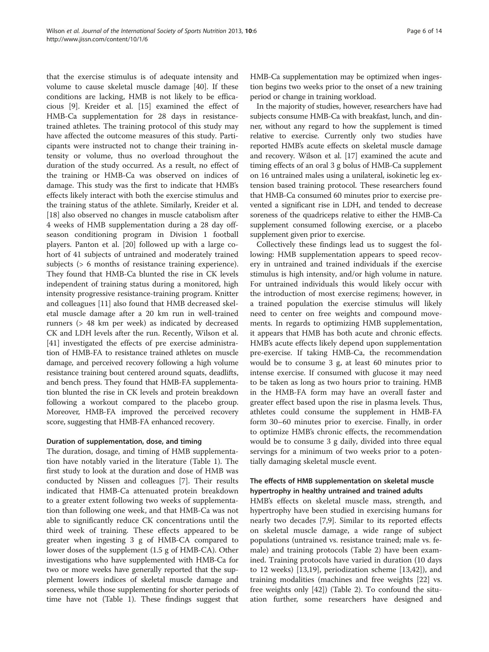that the exercise stimulus is of adequate intensity and volume to cause skeletal muscle damage [[40\]](#page-12-0). If these conditions are lacking, HMB is not likely to be efficacious [[9\]](#page-11-0). Kreider et al. [\[15](#page-11-0)] examined the effect of HMB-Ca supplementation for 28 days in resistancetrained athletes. The training protocol of this study may have affected the outcome measures of this study. Participants were instructed not to change their training intensity or volume, thus no overload throughout the duration of the study occurred. As a result, no effect of the training or HMB-Ca was observed on indices of damage. This study was the first to indicate that HMB's effects likely interact with both the exercise stimulus and the training status of the athlete. Similarly, Kreider et al. [[18\]](#page-11-0) also observed no changes in muscle catabolism after 4 weeks of HMB supplementation during a 28 day offseason conditioning program in Division 1 football players. Panton et al. [[20](#page-11-0)] followed up with a large cohort of 41 subjects of untrained and moderately trained subjects (> 6 months of resistance training experience). They found that HMB-Ca blunted the rise in CK levels independent of training status during a monitored, high intensity progressive resistance-training program. Knitter and colleagues [\[11](#page-11-0)] also found that HMB decreased skeletal muscle damage after a 20 km run in well-trained runners (> 48 km per week) as indicated by decreased CK and LDH levels after the run. Recently, Wilson et al. [[41\]](#page-12-0) investigated the effects of pre exercise administration of HMB-FA to resistance trained athletes on muscle damage, and perceived recovery following a high volume resistance training bout centered around squats, deadlifts, and bench press. They found that HMB-FA supplementation blunted the rise in CK levels and protein breakdown following a workout compared to the placebo group. Moreover, HMB-FA improved the perceived recovery score, suggesting that HMB-FA enhanced recovery.

## Duration of supplementation, dose, and timing

The duration, dosage, and timing of HMB supplementation have notably varied in the literature (Table [1](#page-1-0)). The first study to look at the duration and dose of HMB was conducted by Nissen and colleagues [\[7\]](#page-11-0). Their results indicated that HMB-Ca attenuated protein breakdown to a greater extent following two weeks of supplementation than following one week, and that HMB-Ca was not able to significantly reduce CK concentrations until the third week of training. These effects appeared to be greater when ingesting 3 g of HMB-CA compared to lower doses of the supplement (1.5 g of HMB-CA). Other investigations who have supplemented with HMB-Ca for two or more weeks have generally reported that the supplement lowers indices of skeletal muscle damage and soreness, while those supplementing for shorter periods of time have not (Table [1](#page-1-0)). These findings suggest that HMB-Ca supplementation may be optimized when ingestion begins two weeks prior to the onset of a new training period or change in training workload.

In the majority of studies, however, researchers have had subjects consume HMB-Ca with breakfast, lunch, and dinner, without any regard to how the supplement is timed relative to exercise. Currently only two studies have reported HMB's acute effects on skeletal muscle damage and recovery. Wilson et al. [\[17\]](#page-11-0) examined the acute and timing effects of an oral 3 g bolus of HMB-Ca supplement on 16 untrained males using a unilateral, isokinetic leg extension based training protocol. These researchers found that HMB-Ca consumed 60 minutes prior to exercise prevented a significant rise in LDH, and tended to decrease soreness of the quadriceps relative to either the HMB-Ca supplement consumed following exercise, or a placebo supplement given prior to exercise.

Collectively these findings lead us to suggest the following: HMB supplementation appears to speed recovery in untrained and trained individuals if the exercise stimulus is high intensity, and/or high volume in nature. For untrained individuals this would likely occur with the introduction of most exercise regimens; however, in a trained population the exercise stimulus will likely need to center on free weights and compound movements. In regards to optimizing HMB supplementation, it appears that HMB has both acute and chronic effects. HMB's acute effects likely depend upon supplementation pre-exercise. If taking HMB-Ca, the recommendation would be to consume 3 g, at least 60 minutes prior to intense exercise. If consumed with glucose it may need to be taken as long as two hours prior to training. HMB in the HMB-FA form may have an overall faster and greater effect based upon the rise in plasma levels. Thus, athletes could consume the supplement in HMB-FA form 30–60 minutes prior to exercise. Finally, in order to optimize HMB's chronic effects, the recommendation would be to consume 3 g daily, divided into three equal servings for a minimum of two weeks prior to a potentially damaging skeletal muscle event.

## The effects of HMB supplementation on skeletal muscle hypertrophy in healthy untrained and trained adults

HMB's effects on skeletal muscle mass, strength, and hypertrophy have been studied in exercising humans for nearly two decades [\[7,9](#page-11-0)]. Similar to its reported effects on skeletal muscle damage, a wide range of subject populations (untrained vs. resistance trained; male vs. female) and training protocols (Table [2](#page-2-0)) have been examined. Training protocols have varied in duration (10 days to 12 weeks) [\[13,19](#page-11-0)], periodization scheme [[13,](#page-11-0)[42](#page-12-0)]), and training modalities (machines and free weights [[22\]](#page-11-0) vs. free weights only [[42\]](#page-12-0)) (Table [2\)](#page-2-0). To confound the situation further, some researchers have designed and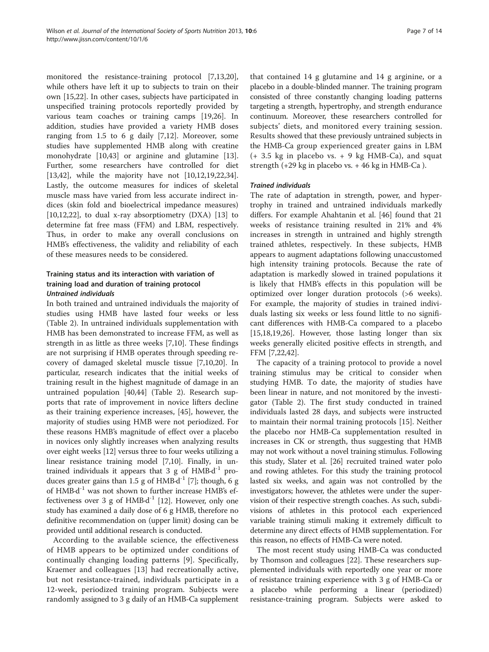monitored the resistance-training protocol [\[7,13,20](#page-11-0)], while others have left it up to subjects to train on their own [\[15,22](#page-11-0)]. In other cases, subjects have participated in unspecified training protocols reportedly provided by various team coaches or training camps [\[19,](#page-11-0)[26\]](#page-12-0). In addition, studies have provided a variety HMB doses ranging from 1.5 to 6 g daily [\[7,12](#page-11-0)]. Moreover, some studies have supplemented HMB along with creatine monohydrate [\[10](#page-11-0)[,43\]](#page-12-0) or arginine and glutamine [\[13](#page-11-0)]. Further, some researchers have controlled for diet [[13,](#page-11-0)[42\]](#page-12-0), while the majority have not [[10](#page-11-0),[12,19,22](#page-11-0)[,34](#page-12-0)]. Lastly, the outcome measures for indices of skeletal muscle mass have varied from less accurate indirect indices (skin fold and bioelectrical impedance measures) [[10,12,22\]](#page-11-0), to dual x-ray absorptiometry  $(DXA)$  [[13\]](#page-11-0) to determine fat free mass (FFM) and LBM, respectively. Thus, in order to make any overall conclusions on HMB's effectiveness, the validity and reliability of each of these measures needs to be considered.

## Training status and its interaction with variation of training load and duration of training protocol Untrained individuals

In both trained and untrained individuals the majority of studies using HMB have lasted four weeks or less (Table [2](#page-2-0)). In untrained individuals supplementation with HMB has been demonstrated to increase FFM, as well as strength in as little as three weeks [[7,10\]](#page-11-0). These findings are not surprising if HMB operates through speeding recovery of damaged skeletal muscle tissue [[7,10,20\]](#page-11-0). In particular, research indicates that the initial weeks of training result in the highest magnitude of damage in an untrained population [\[40,44](#page-12-0)] (Table [2](#page-2-0)). Research supports that rate of improvement in novice lifters decline as their training experience increases, [[45](#page-12-0)], however, the majority of studies using HMB were not periodized. For these reasons HMB's magnitude of effect over a placebo in novices only slightly increases when analyzing results over eight weeks [[12](#page-11-0)] versus three to four weeks utilizing a linear resistance training model [\[7,10](#page-11-0)]. Finally, in untrained individuals it appears that 3 g of  $HMB-d^{-1}$  produces greater gains than 1.5 g of  $HMB-d^{-1}$  [[7\]](#page-11-0); though, 6 g of HMB·d-1 was not shown to further increase HMB's effectiveness over 3 g of  $HMB \cdot d^{-1}$  [\[12\]](#page-11-0). However, only one study has examined a daily dose of 6 g HMB, therefore no definitive recommendation on (upper limit) dosing can be provided until additional research is conducted.

According to the available science, the effectiveness of HMB appears to be optimized under conditions of continually changing loading patterns [[9\]](#page-11-0). Specifically, Kraemer and colleagues [[13\]](#page-11-0) had recreationally active, but not resistance-trained, individuals participate in a 12-week, periodized training program. Subjects were randomly assigned to 3 g daily of an HMB-Ca supplement

that contained 14 g glutamine and 14 g arginine, or a placebo in a double-blinded manner. The training program consisted of three constantly changing loading patterns targeting a strength, hypertrophy, and strength endurance continuum. Moreover, these researchers controlled for subjects' diets, and monitored every training session. Results showed that these previously untrained subjects in the HMB-Ca group experienced greater gains in LBM  $(+ 3.5 \text{ kg}$  in placebo vs.  $+ 9 \text{ kg}$  HMB-Ca), and squat strength (+29 kg in placebo vs. + 46 kg in HMB-Ca ).

## Trained individuals

The rate of adaptation in strength, power, and hypertrophy in trained and untrained individuals markedly differs. For example Ahahtanin et al. [[46\]](#page-12-0) found that 21 weeks of resistance training resulted in 21% and 4% increases in strength in untrained and highly strength trained athletes, respectively. In these subjects, HMB appears to augment adaptations following unaccustomed high intensity training protocols. Because the rate of adaptation is markedly slowed in trained populations it is likely that HMB's effects in this population will be optimized over longer duration protocols (>6 weeks). For example, the majority of studies in trained individuals lasting six weeks or less found little to no significant differences with HMB-Ca compared to a placebo [[15,18,19,](#page-11-0)[26\]](#page-12-0). However, those lasting longer than six weeks generally elicited positive effects in strength, and FFM [\[7,22](#page-11-0)[,42\]](#page-12-0).

The capacity of a training protocol to provide a novel training stimulus may be critical to consider when studying HMB. To date, the majority of studies have been linear in nature, and not monitored by the investigator (Table [2\)](#page-2-0). The first study conducted in trained individuals lasted 28 days, and subjects were instructed to maintain their normal training protocols [\[15](#page-11-0)]. Neither the placebo nor HMB-Ca supplementation resulted in increases in CK or strength, thus suggesting that HMB may not work without a novel training stimulus. Following this study, Slater et al. [\[26\]](#page-12-0) recruited trained water polo and rowing athletes. For this study the training protocol lasted six weeks, and again was not controlled by the investigators; however, the athletes were under the supervision of their respective strength coaches. As such, subdivisions of athletes in this protocol each experienced variable training stimuli making it extremely difficult to determine any direct effects of HMB supplementation. For this reason, no effects of HMB-Ca were noted.

The most recent study using HMB-Ca was conducted by Thomson and colleagues [[22\]](#page-11-0). These researchers supplemented individuals with reportedly one year or more of resistance training experience with 3 g of HMB-Ca or a placebo while performing a linear (periodized) resistance-training program. Subjects were asked to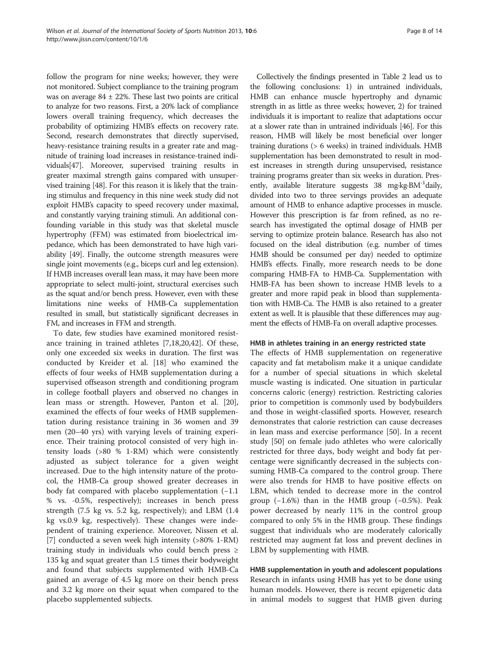follow the program for nine weeks; however, they were not monitored. Subject compliance to the training program was on average  $84 \pm 22\%$ . These last two points are critical to analyze for two reasons. First, a 20% lack of compliance lowers overall training frequency, which decreases the probability of optimizing HMB's effects on recovery rate. Second, research demonstrates that directly supervised, heavy-resistance training results in a greater rate and magnitude of training load increases in resistance-trained individuals[\[47](#page-12-0)]. Moreover, supervised training results in greater maximal strength gains compared with unsupervised training [[48](#page-12-0)]. For this reason it is likely that the training stimulus and frequency in this nine week study did not exploit HMB's capacity to speed recovery under maximal, and constantly varying training stimuli. An additional confounding variable in this study was that skeletal muscle hypertrophy (FFM) was estimated from bioelectrical impedance, which has been demonstrated to have high variability [[49](#page-12-0)]. Finally, the outcome strength measures were single joint movements (e.g., biceps curl and leg extension). If HMB increases overall lean mass, it may have been more appropriate to select multi-joint, structural exercises such as the squat and/or bench press. However, even with these limitations nine weeks of HMB-Ca supplementation resulted in small, but statistically significant decreases in FM, and increases in FFM and strength.

To date, few studies have examined monitored resistance training in trained athletes [\[7](#page-11-0),[18,20](#page-11-0)[,42](#page-12-0)]. Of these, only one exceeded six weeks in duration. The first was conducted by Kreider et al. [[18\]](#page-11-0) who examined the effects of four weeks of HMB supplementation during a supervised offseason strength and conditioning program in college football players and observed no changes in lean mass or strength. However, Panton et al. [\[20](#page-11-0)], examined the effects of four weeks of HMB supplementation during resistance training in 36 women and 39 men (20–40 yrs) with varying levels of training experience. Their training protocol consisted of very high intensity loads (>80 % 1-RM) which were consistently adjusted as subject tolerance for a given weight increased. Due to the high intensity nature of the protocol, the HMB-Ca group showed greater decreases in body fat compared with placebo supplementation (−1.1 % vs. -0.5%, respectively); increases in bench press strength (7.5 kg vs. 5.2 kg, respectively); and LBM (1.4 kg vs.0.9 kg, respectively). These changes were independent of training experience. Moreover, Nissen et al. [[7\]](#page-11-0) conducted a seven week high intensity (>80% 1-RM) training study in individuals who could bench press ≥ 135 kg and squat greater than 1.5 times their bodyweight and found that subjects supplemented with HMB-Ca gained an average of 4.5 kg more on their bench press and 3.2 kg more on their squat when compared to the placebo supplemented subjects.

Collectively the findings presented in Table [2](#page-2-0) lead us to the following conclusions: 1) in untrained individuals, HMB can enhance muscle hypertrophy and dynamic strength in as little as three weeks; however, 2) for trained individuals it is important to realize that adaptations occur at a slower rate than in untrained individuals [\[46\]](#page-12-0). For this reason, HMB will likely be most beneficial over longer training durations (> 6 weeks) in trained individuals. HMB supplementation has been demonstrated to result in modest increases in strength during unsupervised, resistance training programs greater than six weeks in duration. Presently, available literature suggests 38 mg·kg·BM<sup>-1</sup>daily, divided into two to three servings provides an adequate amount of HMB to enhance adaptive processes in muscle. However this prescription is far from refined, as no research has investigated the optimal dosage of HMB per serving to optimize protein balance. Research has also not focused on the ideal distribution (e.g. number of times HMB should be consumed per day) needed to optimize HMB's effects. Finally, more research needs to be done comparing HMB-FA to HMB-Ca. Supplementation with HMB-FA has been shown to increase HMB levels to a greater and more rapid peak in blood than supplementation with HMB-Ca. The HMB is also retained to a greater extent as well. It is plausible that these differences may augment the effects of HMB-Fa on overall adaptive processes.

## HMB in athletes training in an energy restricted state

The effects of HMB supplementation on regenerative capacity and fat metabolism make it a unique candidate for a number of special situations in which skeletal muscle wasting is indicated. One situation in particular concerns caloric (energy) restriction. Restricting calories prior to competition is commonly used by bodybuilders and those in weight-classified sports. However, research demonstrates that calorie restriction can cause decreases in lean mass and exercise performance [[50\]](#page-12-0). In a recent study [[50\]](#page-12-0) on female judo athletes who were calorically restricted for three days, body weight and body fat percentage were significantly decreased in the subjects consuming HMB-Ca compared to the control group. There were also trends for HMB to have positive effects on LBM, which tended to decrease more in the control group (−1.6%) than in the HMB group (−0.5%). Peak power decreased by nearly 11% in the control group compared to only 5% in the HMB group. These findings suggest that individuals who are moderately calorically restricted may augment fat loss and prevent declines in LBM by supplementing with HMB.

HMB supplementation in youth and adolescent populations Research in infants using HMB has yet to be done using human models. However, there is recent epigenetic data in animal models to suggest that HMB given during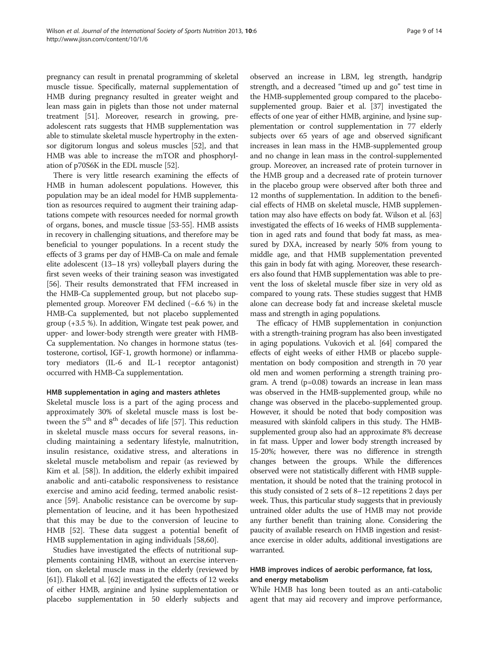pregnancy can result in prenatal programming of skeletal muscle tissue. Specifically, maternal supplementation of HMB during pregnancy resulted in greater weight and lean mass gain in piglets than those not under maternal treatment [\[51\]](#page-12-0). Moreover, research in growing, preadolescent rats suggests that HMB supplementation was able to stimulate skeletal muscle hypertrophy in the extensor digitorum longus and soleus muscles [\[52\]](#page-12-0), and that HMB was able to increase the mTOR and phosphorylation of p70S6K in the EDL muscle [\[52](#page-12-0)].

There is very little research examining the effects of HMB in human adolescent populations. However, this population may be an ideal model for HMB supplementation as resources required to augment their training adaptations compete with resources needed for normal growth of organs, bones, and muscle tissue [\[53-55](#page-12-0)]. HMB assists in recovery in challenging situations, and therefore may be beneficial to younger populations. In a recent study the effects of 3 grams per day of HMB-Ca on male and female elite adolescent (13–18 yrs) volleyball players during the first seven weeks of their training season was investigated [[56](#page-12-0)]. Their results demonstrated that FFM increased in the HMB-Ca supplemented group, but not placebo supplemented group. Moreover FM declined (−6.6 %) in the HMB-Ca supplemented, but not placebo supplemented group (+3.5 %). In addition, Wingate test peak power, and upper- and lower-body strength were greater with HMB-Ca supplementation. No changes in hormone status (testosterone, cortisol, IGF-1, growth hormone) or inflammatory mediators (IL-6 and IL-1 receptor antagonist) occurred with HMB-Ca supplementation.

## HMB supplementation in aging and masters athletes

Skeletal muscle loss is a part of the aging process and approximately 30% of skeletal muscle mass is lost be-tween the 5<sup>th</sup> and 8<sup>th</sup> decades of life [[57\]](#page-12-0). This reduction in skeletal muscle mass occurs for several reasons, including maintaining a sedentary lifestyle, malnutrition, insulin resistance, oxidative stress, and alterations in skeletal muscle metabolism and repair (as reviewed by Kim et al. [[58\]](#page-12-0)). In addition, the elderly exhibit impaired anabolic and anti-catabolic responsiveness to resistance exercise and amino acid feeding, termed anabolic resistance [\[59\]](#page-12-0). Anabolic resistance can be overcome by supplementation of leucine, and it has been hypothesized that this may be due to the conversion of leucine to HMB [\[52\]](#page-12-0). These data suggest a potential benefit of HMB supplementation in aging individuals [\[58,60\]](#page-12-0).

Studies have investigated the effects of nutritional supplements containing HMB, without an exercise intervention, on skeletal muscle mass in the elderly (reviewed by [[61](#page-12-0)]). Flakoll et al. [[62](#page-12-0)] investigated the effects of 12 weeks of either HMB, arginine and lysine supplementation or placebo supplementation in 50 elderly subjects and

observed an increase in LBM, leg strength, handgrip strength, and a decreased "timed up and go" test time in the HMB-supplemented group compared to the placebosupplemented group. Baier et al. [[37](#page-12-0)] investigated the effects of one year of either HMB, arginine, and lysine supplementation or control supplementation in 77 elderly subjects over 65 years of age and observed significant increases in lean mass in the HMB-supplemented group and no change in lean mass in the control-supplemented group. Moreover, an increased rate of protein turnover in the HMB group and a decreased rate of protein turnover in the placebo group were observed after both three and 12 months of supplementation. In addition to the beneficial effects of HMB on skeletal muscle, HMB supplementation may also have effects on body fat. Wilson et al. [[63](#page-12-0)] investigated the effects of 16 weeks of HMB supplementation in aged rats and found that body fat mass, as measured by DXA, increased by nearly 50% from young to middle age, and that HMB supplementation prevented this gain in body fat with aging. Moreover, these researchers also found that HMB supplementation was able to prevent the loss of skeletal muscle fiber size in very old as compared to young rats. These studies suggest that HMB alone can decrease body fat and increase skeletal muscle mass and strength in aging populations.

The efficacy of HMB supplementation in conjunction with a strength-training program has also been investigated in aging populations. Vukovich et al. [\[64\]](#page-12-0) compared the effects of eight weeks of either HMB or placebo supplementation on body composition and strength in 70 year old men and women performing a strength training program. A trend (p=0.08) towards an increase in lean mass was observed in the HMB-supplemented group, while no change was observed in the placebo-supplemented group. However, it should be noted that body composition was measured with skinfold calipers in this study. The HMBsupplemented group also had an approximate 8% decrease in fat mass. Upper and lower body strength increased by 15-20%; however, there was no difference in strength changes between the groups. While the differences observed were not statistically different with HMB supplementation, it should be noted that the training protocol in this study consisted of 2 sets of 8–12 repetitions 2 days per week. Thus, this particular study suggests that in previously untrained older adults the use of HMB may not provide any further benefit than training alone. Considering the paucity of available research on HMB ingestion and resistance exercise in older adults, additional investigations are warranted.

## HMB improves indices of aerobic performance, fat loss, and energy metabolism

While HMB has long been touted as an anti-catabolic agent that may aid recovery and improve performance,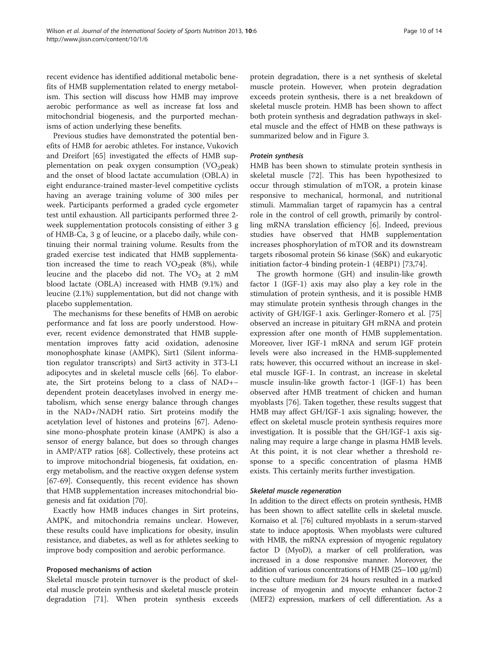recent evidence has identified additional metabolic benefits of HMB supplementation related to energy metabolism. This section will discuss how HMB may improve aerobic performance as well as increase fat loss and mitochondrial biogenesis, and the purported mechanisms of action underlying these benefits.

Previous studies have demonstrated the potential benefits of HMB for aerobic athletes. For instance, Vukovich and Dreifort [\[65\]](#page-12-0) investigated the effects of HMB supplementation on peak oxygen consumption (VO<sub>2</sub>peak) and the onset of blood lactate accumulation (OBLA) in eight endurance-trained master-level competitive cyclists having an average training volume of 300 miles per week. Participants performed a graded cycle ergometer test until exhaustion. All participants performed three 2 week supplementation protocols consisting of either 3 g of HMB-Ca, 3 g of leucine, or a placebo daily, while continuing their normal training volume. Results from the graded exercise test indicated that HMB supplementation increased the time to reach  $VO<sub>2</sub>peak$  (8%), while leucine and the placebo did not. The  $VO<sub>2</sub>$  at 2 mM blood lactate (OBLA) increased with HMB (9.1%) and leucine (2.1%) supplementation, but did not change with placebo supplementation.

The mechanisms for these benefits of HMB on aerobic performance and fat loss are poorly understood. However, recent evidence demonstrated that HMB supplementation improves fatty acid oxidation, adenosine monophosphate kinase (AMPK), Sirt1 (Silent information regulator transcripts) and Sirt3 activity in 3T3-L1 adipocytes and in skeletal muscle cells [[66\]](#page-13-0). To elaborate, the Sirt proteins belong to a class of NAD+− dependent protein deacetylases involved in energy metabolism, which sense energy balance through changes in the NAD+/NADH ratio. Sirt proteins modify the acetylation level of histones and proteins [\[67\]](#page-13-0). Adenosine mono-phosphate protein kinase (AMPK) is also a sensor of energy balance, but does so through changes in AMP/ATP ratios [\[68\]](#page-13-0). Collectively, these proteins act to improve mitochondrial biogenesis, fat oxidation, energy metabolism, and the reactive oxygen defense system [[67-69](#page-13-0)]. Consequently, this recent evidence has shown that HMB supplementation increases mitochondrial biogenesis and fat oxidation [\[70](#page-13-0)].

Exactly how HMB induces changes in Sirt proteins, AMPK, and mitochondria remains unclear. However, these results could have implications for obesity, insulin resistance, and diabetes, as well as for athletes seeking to improve body composition and aerobic performance.

## Proposed mechanisms of action

Skeletal muscle protein turnover is the product of skeletal muscle protein synthesis and skeletal muscle protein degradation [\[71\]](#page-13-0). When protein synthesis exceeds protein degradation, there is a net synthesis of skeletal muscle protein. However, when protein degradation exceeds protein synthesis, there is a net breakdown of skeletal muscle protein. HMB has been shown to affect both protein synthesis and degradation pathways in skeletal muscle and the effect of HMB on these pathways is summarized below and in Figure [3](#page-10-0).

#### Protein synthesis

HMB has been shown to stimulate protein synthesis in skeletal muscle [\[72](#page-13-0)]. This has been hypothesized to occur through stimulation of mTOR, a protein kinase responsive to mechanical, hormonal, and nutritional stimuli. Mammalian target of rapamycin has a central role in the control of cell growth, primarily by controlling mRNA translation efficiency [[6\]](#page-11-0). Indeed, previous studies have observed that HMB supplementation increases phosphorylation of mTOR and its downstream targets ribosomal protein S6 kinase (S6K) and eukaryotic initiation factor-4 binding protein-1 (4EBP1) [\[73,74](#page-13-0)].

The growth hormone (GH) and insulin-like growth factor 1 (IGF-1) axis may also play a key role in the stimulation of protein synthesis, and it is possible HMB may stimulate protein synthesis through changes in the activity of GH/IGF-1 axis. Gerlinger-Romero et al. [[75](#page-13-0)] observed an increase in pituitary GH mRNA and protein expression after one month of HMB supplementation. Moreover, liver IGF-1 mRNA and serum IGF protein levels were also increased in the HMB-supplemented rats; however, this occurred without an increase in skeletal muscle IGF-1. In contrast, an increase in skeletal muscle insulin-like growth factor-1 (IGF-1) has been observed after HMB treatment of chicken and human myoblasts [[76](#page-13-0)]. Taken together, these results suggest that HMB may affect GH/IGF-1 axis signaling; however, the effect on skeletal muscle protein synthesis requires more investigation. It is possible that the GH/IGF-1 axis signaling may require a large change in plasma HMB levels. At this point, it is not clear whether a threshold response to a specific concentration of plasma HMB exists. This certainly merits further investigation.

## Skeletal muscle regeneration

In addition to the direct effects on protein synthesis, HMB has been shown to affect satellite cells in skeletal muscle. Kornaiso et al. [\[76](#page-13-0)] cultured myoblasts in a serum-starved state to induce apoptosis. When myoblasts were cultured with HMB, the mRNA expression of myogenic regulatory factor D (MyoD), a marker of cell proliferation, was increased in a dose responsive manner. Moreover, the addition of various concentrations of HMB  $(25-100 \text{ µg/ml})$ to the culture medium for 24 hours resulted in a marked increase of myogenin and myocyte enhancer factor-2 (MEF2) expression, markers of cell differentiation. As a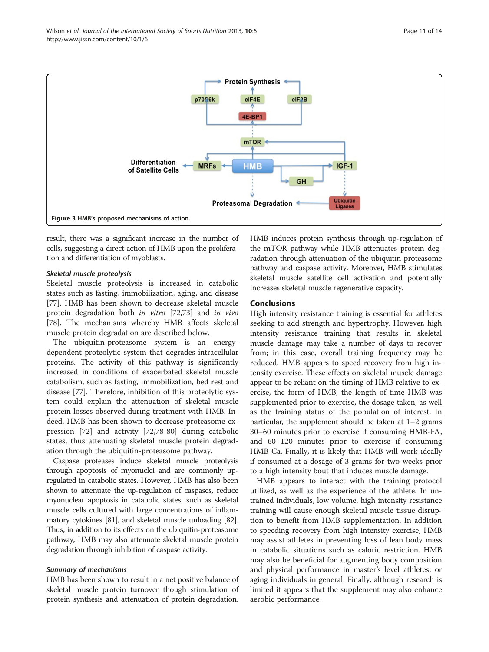<span id="page-10-0"></span>Wilson et al. Journal of the International Society of Sports Nutrition 2013, 10:6 Page 11 of 14 http://www.jissn.com/content/10/1/6



result, there was a significant increase in the number of cells, suggesting a direct action of HMB upon the proliferation and differentiation of myoblasts.

#### Skeletal muscle proteolysis

Skeletal muscle proteolysis is increased in catabolic states such as fasting, immobilization, aging, and disease [[77\]](#page-13-0). HMB has been shown to decrease skeletal muscle protein degradation both in vitro [\[72,73\]](#page-13-0) and in vivo [[78\]](#page-13-0). The mechanisms whereby HMB affects skeletal muscle protein degradation are described below.

The ubiquitin-proteasome system is an energydependent proteolytic system that degrades intracellular proteins. The activity of this pathway is significantly increased in conditions of exacerbated skeletal muscle catabolism, such as fasting, immobilization, bed rest and disease [[77\]](#page-13-0). Therefore, inhibition of this proteolytic system could explain the attenuation of skeletal muscle protein losses observed during treatment with HMB. Indeed, HMB has been shown to decrease proteasome expression [[72](#page-13-0)] and activity [[72,78](#page-13-0)-[80\]](#page-13-0) during catabolic states, thus attenuating skeletal muscle protein degradation through the ubiquitin-proteasome pathway.

Caspase proteases induce skeletal muscle proteolysis through apoptosis of myonuclei and are commonly upregulated in catabolic states. However, HMB has also been shown to attenuate the up-regulation of caspases, reduce myonuclear apoptosis in catabolic states, such as skeletal muscle cells cultured with large concentrations of inflammatory cytokines [\[81\]](#page-13-0), and skeletal muscle unloading [\[82](#page-13-0)]. Thus, in addition to its effects on the ubiquitin-proteasome pathway, HMB may also attenuate skeletal muscle protein degradation through inhibition of caspase activity.

## Summary of mechanisms

HMB has been shown to result in a net positive balance of skeletal muscle protein turnover though stimulation of protein synthesis and attenuation of protein degradation.

HMB induces protein synthesis through up-regulation of the mTOR pathway while HMB attenuates protein degradation through attenuation of the ubiquitin-proteasome pathway and caspase activity. Moreover, HMB stimulates skeletal muscle satellite cell activation and potentially increases skeletal muscle regenerative capacity.

## Conclusions

High intensity resistance training is essential for athletes seeking to add strength and hypertrophy. However, high intensity resistance training that results in skeletal muscle damage may take a number of days to recover from; in this case, overall training frequency may be reduced. HMB appears to speed recovery from high intensity exercise. These effects on skeletal muscle damage appear to be reliant on the timing of HMB relative to exercise, the form of HMB, the length of time HMB was supplemented prior to exercise, the dosage taken, as well as the training status of the population of interest. In particular, the supplement should be taken at 1–2 grams 30–60 minutes prior to exercise if consuming HMB-FA, and 60–120 minutes prior to exercise if consuming HMB-Ca. Finally, it is likely that HMB will work ideally if consumed at a dosage of 3 grams for two weeks prior to a high intensity bout that induces muscle damage.

HMB appears to interact with the training protocol utilized, as well as the experience of the athlete. In untrained individuals, low volume, high intensity resistance training will cause enough skeletal muscle tissue disruption to benefit from HMB supplementation. In addition to speeding recovery from high intensity exercise, HMB may assist athletes in preventing loss of lean body mass in catabolic situations such as caloric restriction. HMB may also be beneficial for augmenting body composition and physical performance in master's level athletes, or aging individuals in general. Finally, although research is limited it appears that the supplement may also enhance aerobic performance.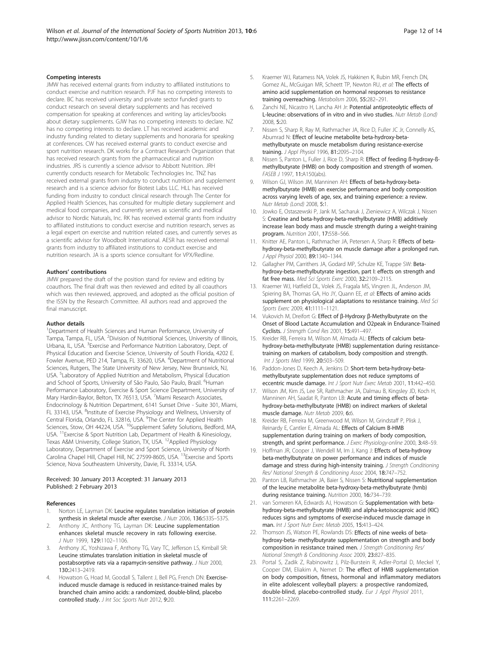#### <span id="page-11-0"></span>Competing interests

JMW has received external grants from industry to affiliated institutions to conduct exercise and nutrition research. PJF has no competing interests to declare. BC has received university and private sector funded grants to conduct research on several dietary supplements and has received compensation for speaking at conferences and writing lay articles/books about dietary supplements. GJW has no competing interests to declare. NZ has no competing interests to declare. LT has received academic and industry funding related to dietary supplements and honoraria for speaking at conferences. CW has received external grants to conduct exercise and sport nutrition research. DK works for a Contract Research Organization that has received research grants from the pharmaceutical and nutrition industries. JRS is currently a science advisor to Abbott Nutrition. JRH currently conducts research for Metabolic Technologies Inc. TNZ has received external grants from industry to conduct nutrition and supplement research and is a science advisor for Biotest Labs LLC. HLL has received funding from industry to conduct clinical research through The Center for Applied Health Sciences, has consulted for multiple dietary supplement and medical food companies, and currently serves as scientific and medical advisor to Nordic Naturals, Inc. RK has received external grants from industry to affiliated institutions to conduct exercise and nutrition research, serves as a legal expert on exercise and nutrition related cases, and currently serves as a scientific advisor for Woodbolt International. AESR has received external grants from industry to affiliated institutions to conduct exercise and nutrition research. JA is a sports science consultant for VPX/Redline.

#### Authors' contributions

JMW prepared the draft of the position stand for review and editing by coauthors. The final draft was then reviewed and edited by all coauthors which was then reviewed, approved, and adopted as the official position of the ISSN by the Research Committee. All authors read and approved the final manuscript.

#### Author details

<sup>1</sup>Department of Health Sciences and Human Performance, University of Tampa, Tampa, FL, USA. <sup>2</sup>Division of Nutritional Sciences, University of Illinois, Urbana, IL, USA. <sup>3</sup> Exercise and Performance Nutrition Laboratory, Dept. of Physical Education and Exercise Science, University of South Florida, 4202 E. Fowler Avenue, PED 214, Tampa, FL 33620, USA. <sup>4</sup>Department of Nutritional Sciences, Rutgers, The State University of New Jersey, New Brunswick, NJ, USA.<sup>5</sup> Laboratory of Applied Nutrition and Metabolism, Physical Education and School of Sports, University of São Paulo, São Paulo, Brazil. <sup>6</sup>Human Performance Laboratory, Exercise & Sport Science Department, University of Mary Hardin-Baylor, Belton, TX 76513, USA. <sup>7</sup>Miami Research Associates, Endocrinology & Nutrition Department, 6141 Sunset Drive - Suite 301, Miami, FL 33143, USA. <sup>8</sup>Institute of Exercise Physiology and Wellness, University of Central Florida, Orlando, FL 32816, USA. <sup>9</sup>The Center for Applied Health Sciences, Stow, OH 44224, USA. <sup>10</sup>Supplement Safety Solutions, Bedford, MA, USA. 11Exercise & Sport Nutrition Lab, Department of Health & Kinesiology, Texas A&M University, College Station, TX, USA. <sup>12</sup>Applied Physiology Laboratory, Department of Exercise and Sport Science, University of North Carolina Chapel Hill, Chapel Hill, NC 27599-8605, USA. 13Exercise and Sports Science, Nova Southeastern University, Davie, FL 33314, USA.

#### Received: 30 January 2013 Accepted: 31 January 2013 Published: 2 February 2013

#### References

- Norton LE, Layman DK: Leucine regulates translation initiation of protein synthesis in skeletal muscle after exercise. J Nutr 2006, 136:533S–537S.
- Anthony JC, Anthony TG, Layman DK: Leucine supplementation enhances skeletal muscle recovery in rats following exercise. J Nutr 1999, 129:1102–1106.
- 3. Anthony JC, Yoshizawa F, Anthony TG, Vary TC, Jefferson LS, Kimball SR: Leucine stimulates translation initiation in skeletal muscle of postabsorptive rats via a rapamycin-sensitive pathway. J Nutr 2000, 130:2413–2419.
- Howatson G, Hoad M, Goodall S, Tallent J, Bell PG, French DN: Exerciseinduced muscle damage is reduced in resistance-trained males by branched chain amino acids: a randomized, double-blind, placebo controlled study. J Int Soc Sports Nutr 2012, 9:20.
- 5. Kraemer WJ, Ratamess NA, Volek JS, Hakkinen K, Rubin MR, French DN, Gomez AL, McGuigan MR, Scheett TP, Newton RU, et al: The effects of amino acid supplementation on hormonal responses to resistance training overreaching. Metabolism 2006, 55:282–291.
- Zanchi NE, Nicastro H, Lancha AH Jr: Potential antiproteolytic effects of L-leucine: observations of in vitro and in vivo studies. Nutr Metab (Lond) 2008, 5:20.
- 7. Nissen S, Sharp R, Ray M, Rathmacher JA, Rice D, Fuller JC Jr, Connelly AS, Abumrad N: Effect of leucine metabolite beta-hydroxy-betamethylbutyrate on muscle metabolism during resistance-exercise training. J Appl Physiol 1996, 81:2095–2104.
- 8. Nissen S, Panton L, Fuller J, Rice D, Sharp R: Effect of feeding ß-hydroxy-ßmethylbutyrate (HMB) on body composition and strength of women. FASEB J 1997, 11:A150(abs).
- 9. Wilson GJ, Wilson JM, Manninen AH: Effects of beta-hydroxy-betamethylbutyrate (HMB) on exercise performance and body composition across varying levels of age, sex, and training experience: a review. Nutr Metab (Lond) 2008, 5:1.
- 10. Jowko E, Ostaszewski P, Jank M, Sacharuk J, Zieniewicz A, Wilczak J, Nissen S: Creatine and beta-hydroxy-beta-methylbutyrate (HMB) additively increase lean body mass and muscle strength during a weight-training program. Nutrition 2001, 17:558–566.
- 11. Knitter AE, Panton L, Rathmacher JA, Petersen A, Sharp R: Effects of betahydroxy-beta-methylbutyrate on muscle damage after a prolonged run. J Appl Physiol 2000, 89:1340-1344.
- 12. Gallagher PM, Carrithers JA, Godard MP, Schulze KE, Trappe SW: Betahydroxy-beta-methylbutyrate ingestion, part I: effects on strength and fat free mass. Med Sci Sports Exerc 2000, 32:2109-2115.
- 13. Kraemer WJ, Hatfield DL, Volek JS, Fragala MS, Vingren JL, Anderson JM, Spiering BA, Thomas GA, Ho JY, Quann EE, et al: Effects of amino acids supplement on physiological adaptations to resistance training. Med Sci Sports Exerc 2009, 41:1111-1121.
- 14. Vukovich M, Dreifort G: Effect of β-Hydroxy β-Methylbutyrate on the Onset of Blood Lactate Accumulation and O2peak in Endurance-Trained Cyclists. J Strength Cond Res 2001, 15:491–497.
- 15. Kreider RB, Ferreira M, Wilson M, Almada AL: Effects of calcium betahydroxy-beta-methylbutyrate (HMB) supplementation during resistancetraining on markers of catabolism, body composition and strength. Int J Sports Med 1999, 20:503-509.
- 16. Paddon-Jones D, Keech A, Jenkins D: Short-term beta-hydroxy-betamethylbutyrate supplementation does not reduce symptoms of eccentric muscle damage. Int J Sport Nutr Exerc Metab 2001, 11:442–450.
- 17. Wilson JM, Kim JS, Lee SR, Rathmacher JA, Dalmau B, Kingsley JD, Koch H, Manninen AH, Saadat R, Panton LB: Acute and timing effects of betahydroxy-beta-methylbutyrate (HMB) on indirect markers of skeletal muscle damage. Nutr Metab 2009, 6:6.
- 18. Kreider RB, Ferreira M, Greenwood M, Wilson M, Grindstaff P, Plisk J, Reinardy E, Cantler E, Almada AL: Effects of Calcium B-HMB supplementation during training on markers of body composition, strength, and sprint performance. J Exerc Physiology-online 2000, 3:48-59.
- 19. Hoffman JR, Cooper J, Wendell M, Im J, Kang J: Effects of beta-hydroxy beta-methylbutyrate on power performance and indices of muscle damage and stress during high-intensity training. J Strength Conditioning Res/ National Strength & Conditioning Assoc 2004, 18:747–752.
- 20. Panton LB, Rathmacher JA, Baier S, Nissen S: Nutritional supplementation of the leucine metabolite beta-hydroxy-beta-methylbutyrate (hmb) during resistance training. Nutrition 2000, 16:734–739.
- 21. van Someren KA, Edwards AJ, Howatson G: Supplementation with betahydroxy-beta-methylbutyrate (HMB) and alpha-ketoisocaproic acid (KIC) reduces signs and symptoms of exercise-induced muscle damage in man. Int J Sport Nutr Exerc Metab 2005, 15:413-424.
- 22. Thomson JS, Watson PE, Rowlands DS: Effects of nine weeks of betahydroxy-beta- methylbutyrate supplementation on strength and body composition in resistance trained men. J Strength Conditioning Res/ National Strength & Conditioning Assoc 2009, 23:827–835.
- 23. Portal S, Zadik Z, Rabinowitz J, Pilz-Burstein R, Adler-Portal D, Meckel Y, Cooper DM, Eliakim A, Nemet D: The effect of HMB supplementation on body composition, fitness, hormonal and inflammatory mediators in elite adolescent volleyball players: a prospective randomized, double-blind, placebo-controlled study. Eur J Appl Physiol 2011, 111:2261–2269.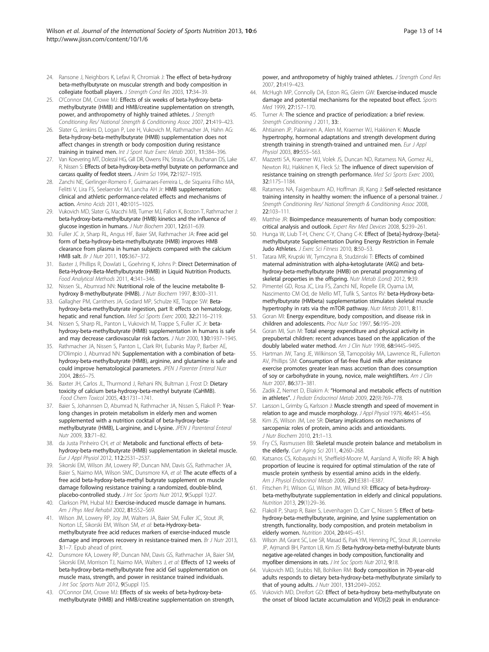- <span id="page-12-0"></span>24. Ransone J, Neighbors K, Lefavi R, Chromiak J: The effect of beta-hydroxy beta-methylbutyrate on muscular strength and body composition in collegiate football players. J Strength Cond Res 2003, 17:34–39.
- 25. O'Connor DM, Crowe MJ: Effects of six weeks of beta-hydroxy-betamethylbutyrate (HMB) and HMB/creatine supplementation on strength, power, and anthropometry of highly trained athletes. J Strength Conditioning Res/ National Strength & Conditioning Assoc 2007, 21:419–423.
- 26. Slater G, Jenkins D, Logan P, Lee H, Vukovich M, Rathmacher JA, Hahn AG: Beta-hydroxy-beta-methylbutyrate (HMB) supplementation does not affect changes in strength or body composition during resistance training in trained men. Int J Sport Nutr Exerc Metab 2001, 11:384-396.
- 27. Van Koevering MT, Dolezal HG, Gill DR, Owens FN, Strasia CA, Buchanan DS, Lake R, Nissen S: Effects of beta-hydroxy-beta-methyl butyrate on performance and carcass quality of feedlot steers. J Anim Sci 1994, 72:1927–1935.
- 28. Zanchi NE, Gerlinger-Romero F, Guimaraes-Ferreira L, de Siqueira Filho MA, Felitti V, Lira FS, Seelaender M, Lancha AH Jr: HMB supplementation: clinical and athletic performance-related effects and mechanisms of action. Amino Acids 2011, 40:1015–1025.
- 29. Vukovich MD, Slater G, Macchi MB, Turner MJ, Fallon K, Boston T, Rathmacher J: beta-hydroxy-beta-methylbutyrate (HMB) kinetics and the influence of glucose ingestion in humans. J Nutr Biochem 2001, 12:631–639.
- 30. Fuller JC Jr, Sharp RL, Angus HF, Baier SM, Rathmacher JA: Free acid gel form of beta-hydroxy-beta-methylbutyrate (HMB) improves HMB clearance from plasma in human subjects compared with the calcium HMB salt. Br J Nutr 2011, 105:367–372.
- 31. Baxter J, Phillips R, Dowlati L, Goehring K, Johns P: Direct Determination of Beta-Hydroxy-Beta-Methylbutyrate (HMB) in Liquid Nutrition Products. Food Analytical Methods 2011, 4:341–346.
- 32. Nissen SL, Abumrad NN: Nutritional role of the leucine metabolite Bhydroxy B-methylbutyrate (HMB). J Nutr Biochem 1997, 8:300–311.
- 33. Gallagher PM, Carrithers JA, Godard MP, Schulze KE, Trappe SW: Betahydroxy-beta-methylbutyrate ingestion, part II: effects on hematology, hepatic and renal function. Med Sci Sports Exerc 2000, 32:2116–2119.
- 34. Nissen S, Sharp RL, Panton L, Vukovich M, Trappe S, Fuller JC Jr: betahydroxy-beta-methylbutyrate (HMB) supplementation in humans is safe and may decrease cardiovascular risk factors. J Nutr 2000, 130:1937-1945.
- 35. Rathmacher JA, Nissen S, Panton L, Clark RH, Eubanks May P, Barber AE, D'Olimpio J, Abumrad NN: Supplementation with a combination of betahydroxy-beta-methylbutyrate (HMB), arginine, and glutamine is safe and could improve hematological parameters. JPEN J Parenter Enteral Nutr 2004, 28:65–75.
- 36. Baxter JH, Carlos JL, Thurmond J, Rehani RN, Bultman J, Frost D: Dietary toxicity of calcium beta-hydroxy-beta-methyl butyrate (CaHMB). Food Chem Toxicol 2005, 43:1731–1741.
- 37. Baier S, Johannsen D, Abumrad N, Rathmacher JA, Nissen S, Flakoll P: Yearlong changes in protein metabolism in elderly men and women supplemented with a nutrition cocktail of beta-hydroxy-betamethylbutyrate (HMB), L-arginine, and L-lysine. JPEN J Parenteral Enteral Nutr 2009, 33:71–82.
- 38. da Justa Pinheiro CH, et al: Metabolic and functional effects of betahydroxy-beta-methylbutyrate (HMB) supplementation in skeletal muscle. Eur J Appl Physiol 2012, 112:2531–2537.
- 39. Sikorski EM, Wilson JM, Lowery RP, Duncan NM, Davis GS, Rathmacher JA, Baier S, Naimo MA, Wilson SMC, Dunsmore KA, et al: The acute effects of a free acid beta-hydoxy-beta-methyl butyrate supplement on muscle damage following resistance training: a randomized, double-blind, placebo-controlled study. J Int Soc Sports Nutr 2012, 9(Suppl 1):27.
- 40. Clarkson PM, Hubal MJ: Exercise-induced muscle damage in humans. Am J Phys Med Rehabil 2002, 81:S52–S69.
- 41. Wilson JM, Lowery RP, Joy JM, Walters JA, Baier SM, Fuller JC, Stout JR, Norton LE, Sikorski EM, Wilson SM, et al: beta-Hydroxy-betamethylbutyrate free acid reduces markers of exercise-induced muscle damage and improves recovery in resistance-trained men. Br J Nutr 2013, 3:1–7. Epub ahead of print.
- 42. Dunsmore KA, Lowery RP, Duncan NM, Davis GS, Rathmacher JA, Baier SM, Sikorski EM, Morrison TJ, Naimo MA, Walters J, et al: Effects of 12 weeks of beta-hydroxy-beta-methylbutyrate free acid Gel supplementation on muscle mass, strength, and power in resistance trained individuals. J Int Soc Sports Nutr 2012, 9(Suppl 1):5.
- 43. O'Connor DM, Crowe MJ: Effects of six weeks of beta-hydroxy-betamethylbutyrate (HMB) and HMB/creatine supplementation on strength,

power, and anthropometry of highly trained athletes. J Strength Cond Res 2007, 21:419–423.

- 44. McHugh MP, Connolly DA, Eston RG, Gleim GW: Exercise-induced muscle damage and potential mechanisms for the repeated bout effect. Sports Med 1999, 27:157-170.
- 45. Turner A: The science and practice of periodization: a brief review. Strength Conditioning J 2011, 33:
- 46. Ahtiainen JP, Pakarinen A, Alen M, Kraemer WJ, Hakkinen K: Muscle hypertrophy, hormonal adaptations and strength development during strength training in strength-trained and untrained men. Eur J Appl Physiol 2003, 89:555-563.
- 47. Mazzetti SA, Kraemer WJ, Volek JS, Duncan ND, Ratamess NA, Gomez AL, Newton RU, Hakkinen K, Fleck SJ: The influence of direct supervision of resistance training on strength performance. Med Sci Sports Exerc 2000, 32:1175–1184.
- 48. Ratamess NA, Faigenbaum AD, Hoffman JR, Kang J: Self-selected resistance training intensity in healthy women: the influence of a personal trainer. J Strength Conditioning Res/ National Strength & Conditioning Assoc 2008, 22:103–111.
- 49. Matthie JR: Bioimpedance measurements of human body composition: critical analysis and outlook. Expert Rev Med Devices 2008, 5:239–261.
- 50. Hunga W, Liub T-H, Chenc C-Y, Chang C-K: Effect of [beta]-hydroxy-[beta] methylbutyrate Supplementation During Energy Restriction in Female Judo Athletes. J Exerc Sci Fitness 2010, 8:50-53.
- 51. Tatara MR, Krupski W, Tymczyna B, Studzinski T: Effects of combined maternal administration with alpha-ketoglutarate (AKG) and betahydroxy-beta-methylbutyrate (HMB) on prenatal programming of skeletal properties in the offspring. Nutr Metab (Lond) 2012, 9:39.
- Pimentel GD, Rosa JC, Lira FS, Zanchi NE, Ropelle ER, Oyama LM, Nascimento CM Od, de Mello MT, Tufik S, Santos RV: beta-Hydroxy-betamethylbutyrate (HMbeta) supplementation stimulates skeletal muscle hypertrophy in rats via the mTOR pathway. Nutr Metab 2011, 8:11.
- 53. Goran MI: Energy expenditure, body composition, and disease risk in children and adolescents. Proc Nutr Soc 1997, 56:195–209.
- 54. Goran MI, Sun M: Total energy expenditure and physical activity in prepubertal children: recent advances based on the application of the doubly labeled water method. Am J Clin Nutr 1998, 68:944S–949S.
- 55. Hartman JW, Tang JE, Wilkinson SB, Tarnopolsky MA, Lawrence RL, Fullerton AV, Phillips SM: Consumption of fat-free fluid milk after resistance exercise promotes greater lean mass accretion than does consumption of soy or carbohydrate in young, novice, male weightlifters. Am J Clin Nutr 2007, 86:373–381.
- 56. Zadik Z, Nemet D, Eliakim A: "Hormonal and metabolic effects of nutrition in athletes". J Pediatr Endocrinol Metab 2009, 22(9):769–778.
- 57. Larsson L, Grimby G, Karlsson J: Muscle strength and speed of movement in relation to age and muscle morphology. J Appl Physiol 1979, 46:451–456.
- 58. Kim JS, Wilson JM, Lee SR: Dietary implications on mechanisms of sarcopenia: roles of protein, amino acids and antioxidants. J Nutr Biochem 2010, 21:1–13.
- 59. Fry CS, Rasmussen BB: Skeletal muscle protein balance and metabolism in the elderly. Curr Aging Sci 2011, 4:260-268.
- 60. Katsanos CS, Kobayashi H, Sheffield-Moore M, Aarsland A, Wolfe RR: A high proportion of leucine is required for optimal stimulation of the rate of muscle protein synthesis by essential amino acids in the elderly. Am J Physiol Endocrinol Metab 2006, 291:E381–E387.
- 61. Fitschen PJ, Wilson GJ, Wilson JM, Wilund KR: Efficacy of beta-hydroxybeta-methylbutyrate supplementation in elderly and clinical populations. Nutrition 2013, 29(1):29–36.
- 62. Flakoll P, Sharp R, Baier S, Levenhagen D, Carr C, Nissen S: Effect of betahydroxy-beta-methylbutyrate, arginine, and lysine supplementation on strength, functionality, body composition, and protein metabolism in elderly women. Nutrition 2004, 20:445–451.
- 63. Wilson JM, Grant SC, Lee SR, Masad IS, Park YM, Henning PC, Stout JR, Loenneke JP, Arjmandi BH, Panton LB, Kim JS: Beta-hydroxy-beta-methyl-butyrate blunts negative age-related changes in body composition, functionality and myofiber dimensions in rats. J Int Soc Sports Nutr 2012, 9:18.
- 64. Vukovich MD, Stubbs NB, Bohlken RM: Body composition in 70-year-old adults responds to dietary beta-hydroxy-beta-methylbutyrate similarly to that of young adults. J Nutr 2001, 131:2049–2052.
- 65. Vukovich MD, Dreifort GD: Effect of beta-hydroxy beta-methylbutyrate on the onset of blood lactate accumulation and V(O)(2) peak in endurance-